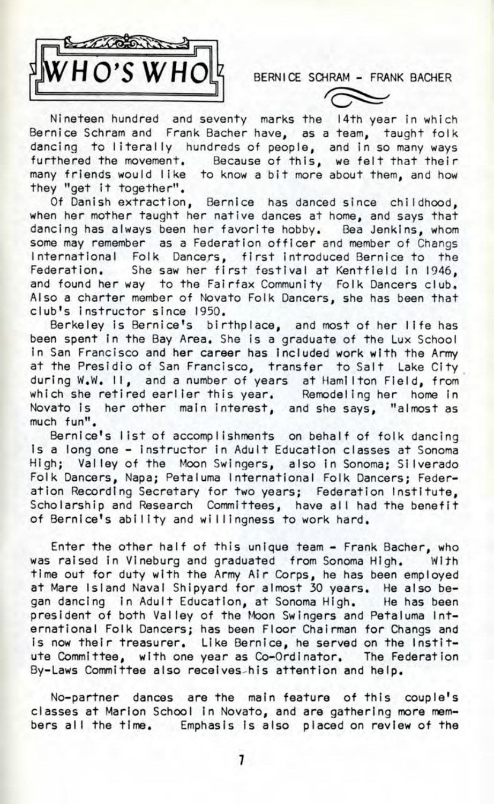

BERNICE SCHRAM - FRANK BACHER

Nineteen hundred and seventy marks the 14th year in which Bernice Schram and Frank Bacher have, as a team, taught folk dancing to literally hundreds of people, and in so many ways furthered the movement. Because of this, we felt that their many friends would like to know a bit more about them, and how they "get it together".

Of Danish extraction, Bernice has danced since childhood, when her mother taught her native dances at home, and says that dancing has always been her favorite hobby. Bea Jenkins, whom some may remember as a Federation officer and member of Changs International Folk Dancers, first introduced Bernice to the Federation. She saw her first festival at Kentfield in 1946, and found her way to the Fairfax Community Folk Dancers club. Also a charter member of Novato Folk Dancers, she has been that club's instructor since 1950.

Berkeley is Bernice's birthplace, and most of her life has been spent in the Bay Area. She is a graduate of the Lux School In San Francisco and her career has Included work with the Army at the Presidio of San Francisco, transfer to Salt Lake City during W.W. II, and a number of years at Hamilton Field, from which she retired earlier this year. Remodeling her home in Novato is her other main interest, and she says, "almost as much fun".

Bernice's list of accomplishments on behalf of folk dancing is a long one - instructor in Adult Education classes at Sonoma High; Valley of the Moon Swingers, also in Sonoma; Silverado Folk Dancers, Napa; Petaluma International Folk Dancers; Federation Recording Secretary for two years; Federation Institute, Scholarship and Research Committees, have all had the benefit of Bernice's ability and willingness to work hard.

Enter the other half of this unique team - Frank Bacher, who was raised in Vineburg and graduated from Sonoma High. With time out for duty with the Army Air Corps, he has been employed at Mare Island Naval Shipyard for almost 30 years. He also began dancing in Adult Education, at Sonoma High. He has been president of both Valley of the Moon Swingers and Petaluma International Folk Dancers; has been Floor Chairman for Changs and is now their treasurer. Like Bernice, he served on the Institute Committee, with one year as Co-Ordinator. The Federation By-Laws Committee also receives-his attention and help.

No-partner dances are the main feature of this couple's classes at Marion School In Novato, and are gathering more members all the time. Emphasis is also placed on review of the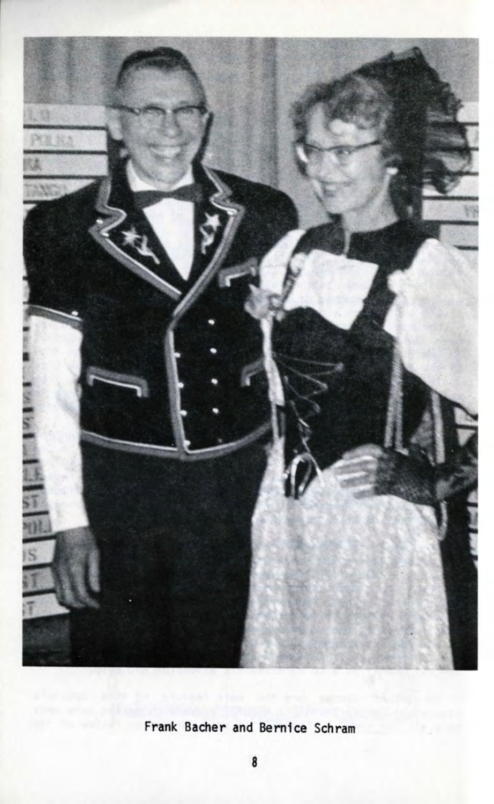

## Frank Bacher and Bernice Schram